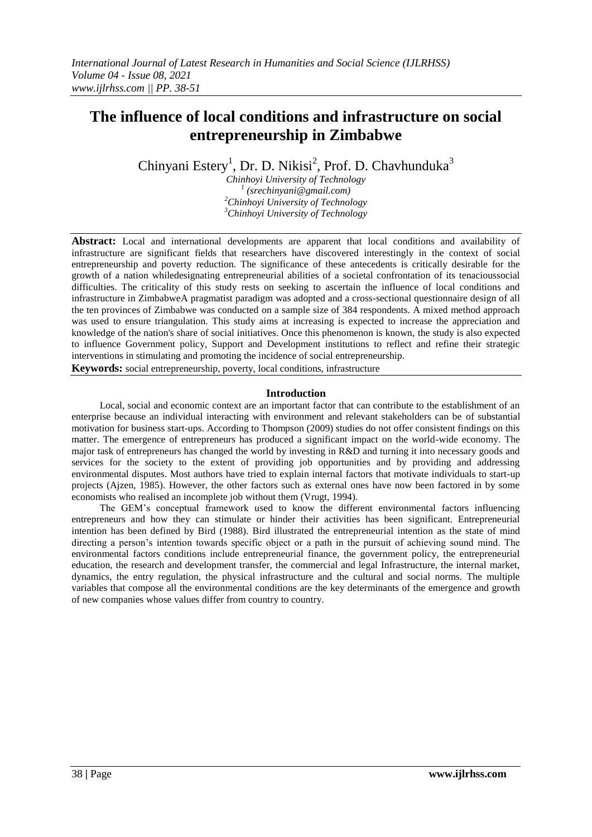# **The influence of local conditions and infrastructure on social entrepreneurship in Zimbabwe**

Chinyani Estery<sup>1</sup>, Dr. D. Nikisi<sup>2</sup>, Prof. D. Chavhunduka<sup>3</sup>

*Chinhoyi University of Technology (srechinyani@gmail.com) Chinhoyi University of Technology Chinhoyi University of Technology*

**Abstract:** Local and international developments are apparent that local conditions and availability of infrastructure are significant fields that researchers have discovered interestingly in the context of social entrepreneurship and poverty reduction. The significance of these antecedents is critically desirable for the growth of a nation whiledesignating entrepreneurial abilities of a societal confrontation of its tenacioussocial difficulties. The criticality of this study rests on seeking to ascertain the influence of local conditions and infrastructure in ZimbabweA pragmatist paradigm was adopted and a cross-sectional questionnaire design of all the ten provinces of Zimbabwe was conducted on a sample size of 384 respondents. A mixed method approach was used to ensure triangulation. This study aims at increasing is expected to increase the appreciation and knowledge of the nation's share of social initiatives. Once this phenomenon is known, the study is also expected to influence Government policy, Support and Development institutions to reflect and refine their strategic interventions in stimulating and promoting the incidence of social entrepreneurship.

**Keywords:** social entrepreneurship, poverty, local conditions, infrastructure

## **Introduction**

Local, social and economic context are an important factor that can contribute to the establishment of an enterprise because an individual interacting with environment and relevant stakeholders can be of substantial motivation for business start-ups. According to Thompson (2009) studies do not offer consistent findings on this matter. The emergence of entrepreneurs has produced a significant impact on the world-wide economy. The major task of entrepreneurs has changed the world by investing in R&D and turning it into necessary goods and services for the society to the extent of providing job opportunities and by providing and addressing environmental disputes. Most authors have tried to explain internal factors that motivate individuals to start-up projects (Ajzen, 1985). However, the other factors such as external ones have now been factored in by some economists who realised an incomplete job without them (Vrugt, 1994).

The GEM's conceptual framework used to know the different environmental factors influencing entrepreneurs and how they can stimulate or hinder their activities has been significant. Entrepreneurial intention has been defined by Bird (1988). Bird illustrated the entrepreneurial intention as the state of mind directing a person's intention towards specific object or a path in the pursuit of achieving sound mind. The environmental factors conditions include entrepreneurial finance, the government policy, the entrepreneurial education, the research and development transfer, the commercial and legal Infrastructure, the internal market, dynamics, the entry regulation, the physical infrastructure and the cultural and social norms. The multiple variables that compose all the environmental conditions are the key determinants of the emergence and growth of new companies whose values differ from country to country.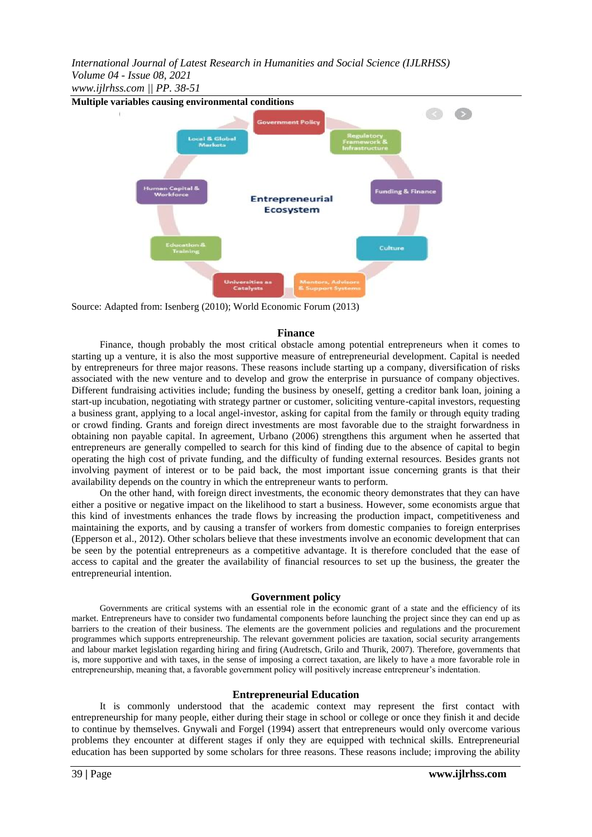*International Journal of Latest Research in Humanities and Social Science (IJLRHSS) Volume 04 - Issue 08, 2021*

*www.ijlrhss.com || PP. 38-51*



Source: Adapted from: Isenberg (2010); World Economic Forum (2013)

#### **Finance**

Finance, though probably the most critical obstacle among potential entrepreneurs when it comes to starting up a venture, it is also the most supportive measure of entrepreneurial development. Capital is needed by entrepreneurs for three major reasons. These reasons include starting up a company, diversification of risks associated with the new venture and to develop and grow the enterprise in pursuance of company objectives. Different fundraising activities include; funding the business by oneself, getting a creditor bank loan, joining a start-up incubation, negotiating with strategy partner or customer, soliciting venture-capital investors, requesting a business grant, applying to a local angel-investor, asking for capital from the family or through equity trading or crowd finding. Grants and foreign direct investments are most favorable due to the straight forwardness in obtaining non payable capital. In agreement, Urbano (2006) strengthens this argument when he asserted that entrepreneurs are generally compelled to search for this kind of finding due to the absence of capital to begin operating the high cost of private funding, and the difficulty of funding external resources. Besides grants not involving payment of interest or to be paid back, the most important issue concerning grants is that their availability depends on the country in which the entrepreneur wants to perform.

On the other hand, with foreign direct investments, the economic theory demonstrates that they can have either a positive or negative impact on the likelihood to start a business. However, some economists argue that this kind of investments enhances the trade flows by increasing the production impact, competitiveness and maintaining the exports, and by causing a transfer of workers from domestic companies to foreign enterprises (Epperson et al., 2012). Other scholars believe that these investments involve an economic development that can be seen by the potential entrepreneurs as a competitive advantage. It is therefore concluded that the ease of access to capital and the greater the availability of financial resources to set up the business, the greater the entrepreneurial intention.

## **Government policy**

Governments are critical systems with an essential role in the economic grant of a state and the efficiency of its market. Entrepreneurs have to consider two fundamental components before launching the project since they can end up as barriers to the creation of their business. The elements are the government policies and regulations and the procurement programmes which supports entrepreneurship. The relevant government policies are taxation, social security arrangements and labour market legislation regarding hiring and firing (Audretsch, Grilo and Thurik, 2007). Therefore, governments that is, more supportive and with taxes, in the sense of imposing a correct taxation, are likely to have a more favorable role in entrepreneurship, meaning that, a favorable government policy will positively increase entrepreneur's indentation.

## **Entrepreneurial Education**

It is commonly understood that the academic context may represent the first contact with entrepreneurship for many people, either during their stage in school or college or once they finish it and decide to continue by themselves. Gnywali and Forgel (1994) assert that entrepreneurs would only overcome various problems they encounter at different stages if only they are equipped with technical skills. Entrepreneurial education has been supported by some scholars for three reasons. These reasons include; improving the ability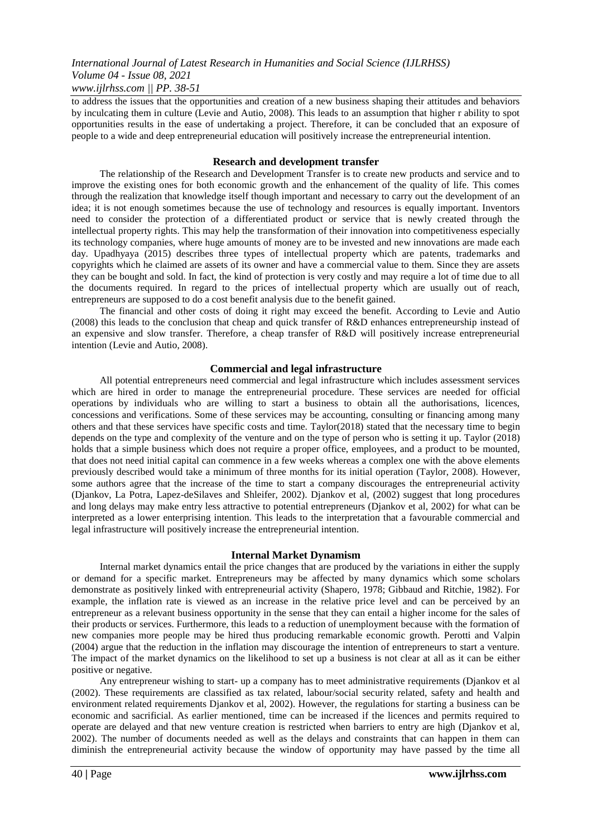to address the issues that the opportunities and creation of a new business shaping their attitudes and behaviors by inculcating them in culture (Levie and Autio, 2008). This leads to an assumption that higher r ability to spot opportunities results in the ease of undertaking a project. Therefore, it can be concluded that an exposure of people to a wide and deep entrepreneurial education will positively increase the entrepreneurial intention.

#### **Research and development transfer**

The relationship of the Research and Development Transfer is to create new products and service and to improve the existing ones for both economic growth and the enhancement of the quality of life. This comes through the realization that knowledge itself though important and necessary to carry out the development of an idea; it is not enough sometimes because the use of technology and resources is equally important. Inventors need to consider the protection of a differentiated product or service that is newly created through the intellectual property rights. This may help the transformation of their innovation into competitiveness especially its technology companies, where huge amounts of money are to be invested and new innovations are made each day. Upadhyaya (2015) describes three types of intellectual property which are patents, trademarks and copyrights which he claimed are assets of its owner and have a commercial value to them. Since they are assets they can be bought and sold. In fact, the kind of protection is very costly and may require a lot of time due to all the documents required. In regard to the prices of intellectual property which are usually out of reach, entrepreneurs are supposed to do a cost benefit analysis due to the benefit gained.

The financial and other costs of doing it right may exceed the benefit. According to Levie and Autio (2008) this leads to the conclusion that cheap and quick transfer of R&D enhances entrepreneurship instead of an expensive and slow transfer. Therefore, a cheap transfer of R&D will positively increase entrepreneurial intention (Levie and Autio, 2008).

## **Commercial and legal infrastructure**

All potential entrepreneurs need commercial and legal infrastructure which includes assessment services which are hired in order to manage the entrepreneurial procedure. These services are needed for official operations by individuals who are willing to start a business to obtain all the authorisations, licences, concessions and verifications. Some of these services may be accounting, consulting or financing among many others and that these services have specific costs and time. Taylor(2018) stated that the necessary time to begin depends on the type and complexity of the venture and on the type of person who is setting it up. Taylor (2018) holds that a simple business which does not require a proper office, employees, and a product to be mounted, that does not need initial capital can commence in a few weeks whereas a complex one with the above elements previously described would take a minimum of three months for its initial operation (Taylor, 2008). However, some authors agree that the increase of the time to start a company discourages the entrepreneurial activity (Djankov, La Potra, Lapez-deSilaves and Shleifer, 2002). Djankov et al, (2002) suggest that long procedures and long delays may make entry less attractive to potential entrepreneurs (Djankov et al, 2002) for what can be interpreted as a lower enterprising intention. This leads to the interpretation that a favourable commercial and legal infrastructure will positively increase the entrepreneurial intention.

#### **Internal Market Dynamism**

Internal market dynamics entail the price changes that are produced by the variations in either the supply or demand for a specific market. Entrepreneurs may be affected by many dynamics which some scholars demonstrate as positively linked with entrepreneurial activity (Shapero, 1978; Gibbaud and Ritchie, 1982). For example, the inflation rate is viewed as an increase in the relative price level and can be perceived by an entrepreneur as a relevant business opportunity in the sense that they can entail a higher income for the sales of their products or services. Furthermore, this leads to a reduction of unemployment because with the formation of new companies more people may be hired thus producing remarkable economic growth. Perotti and Valpin (2004) argue that the reduction in the inflation may discourage the intention of entrepreneurs to start a venture. The impact of the market dynamics on the likelihood to set up a business is not clear at all as it can be either positive or negative.

Any entrepreneur wishing to start- up a company has to meet administrative requirements (Djankov et al (2002). These requirements are classified as tax related, labour/social security related, safety and health and environment related requirements Djankov et al, 2002). However, the regulations for starting a business can be economic and sacrificial. As earlier mentioned, time can be increased if the licences and permits required to operate are delayed and that new venture creation is restricted when barriers to entry are high (Djankov et al, 2002). The number of documents needed as well as the delays and constraints that can happen in them can diminish the entrepreneurial activity because the window of opportunity may have passed by the time all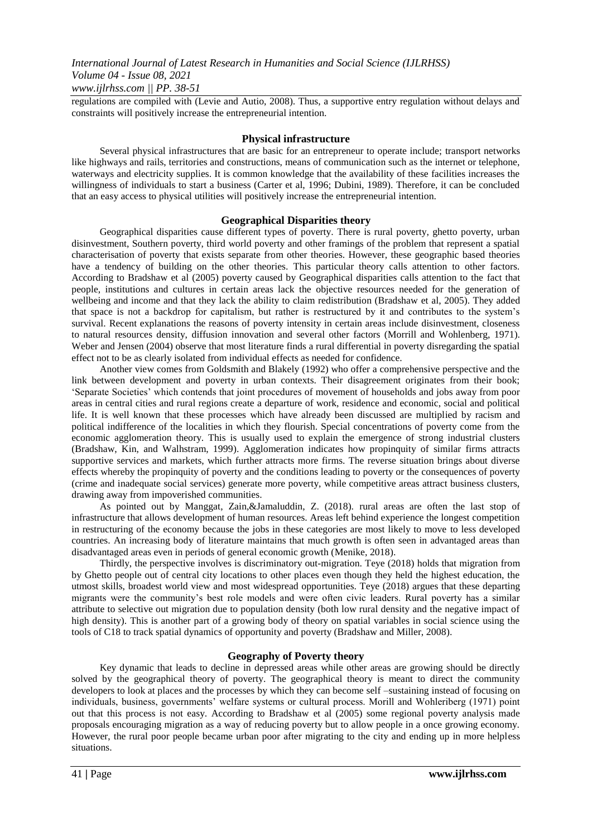regulations are compiled with (Levie and Autio, 2008). Thus, a supportive entry regulation without delays and constraints will positively increase the entrepreneurial intention.

#### **Physical infrastructure**

Several physical infrastructures that are basic for an entrepreneur to operate include; transport networks like highways and rails, territories and constructions, means of communication such as the internet or telephone, waterways and electricity supplies. It is common knowledge that the availability of these facilities increases the willingness of individuals to start a business (Carter et al, 1996; Dubini, 1989). Therefore, it can be concluded that an easy access to physical utilities will positively increase the entrepreneurial intention.

#### **Geographical Disparities theory**

Geographical disparities cause different types of poverty. There is rural poverty, ghetto poverty, urban disinvestment, Southern poverty, third world poverty and other framings of the problem that represent a spatial characterisation of poverty that exists separate from other theories. However, these geographic based theories have a tendency of building on the other theories. This particular theory calls attention to other factors. According to Bradshaw et al (2005) poverty caused by Geographical disparities calls attention to the fact that people, institutions and cultures in certain areas lack the objective resources needed for the generation of wellbeing and income and that they lack the ability to claim redistribution (Bradshaw et al, 2005). They added that space is not a backdrop for capitalism, but rather is restructured by it and contributes to the system's survival. Recent explanations the reasons of poverty intensity in certain areas include disinvestment, closeness to natural resources density, diffusion innovation and several other factors (Morrill and Wohlenberg, 1971). Weber and Jensen (2004) observe that most literature finds a rural differential in poverty disregarding the spatial effect not to be as clearly isolated from individual effects as needed for confidence.

Another view comes from Goldsmith and Blakely (1992) who offer a comprehensive perspective and the link between development and poverty in urban contexts. Their disagreement originates from their book; ‗Separate Societies' which contends that joint procedures of movement of households and jobs away from poor areas in central cities and rural regions create a departure of work, residence and economic, social and political life. It is well known that these processes which have already been discussed are multiplied by racism and political indifference of the localities in which they flourish. Special concentrations of poverty come from the economic agglomeration theory. This is usually used to explain the emergence of strong industrial clusters (Bradshaw, Kin, and Walhstram, 1999). Agglomeration indicates how propinquity of similar firms attracts supportive services and markets, which further attracts more firms. The reverse situation brings about diverse effects whereby the propinquity of poverty and the conditions leading to poverty or the consequences of poverty (crime and inadequate social services) generate more poverty, while competitive areas attract business clusters, drawing away from impoverished communities.

As pointed out by Manggat, Zain,&Jamaluddin, Z. (2018). rural areas are often the last stop of infrastructure that allows development of human resources. Areas left behind experience the longest competition in restructuring of the economy because the jobs in these categories are most likely to move to less developed countries. An increasing body of literature maintains that much growth is often seen in advantaged areas than disadvantaged areas even in periods of general economic growth (Menike, 2018).

Thirdly, the perspective involves is discriminatory out-migration. Teye (2018) holds that migration from by Ghetto people out of central city locations to other places even though they held the highest education, the utmost skills, broadest world view and most widespread opportunities. Teye (2018) argues that these departing migrants were the community's best role models and were often civic leaders. Rural poverty has a similar attribute to selective out migration due to population density (both low rural density and the negative impact of high density). This is another part of a growing body of theory on spatial variables in social science using the tools of C18 to track spatial dynamics of opportunity and poverty (Bradshaw and Miller, 2008).

## **Geography of Poverty theory**

Key dynamic that leads to decline in depressed areas while other areas are growing should be directly solved by the geographical theory of poverty. The geographical theory is meant to direct the community developers to look at places and the processes by which they can become self –sustaining instead of focusing on individuals, business, governments' welfare systems or cultural process. Morill and Wohleriberg (1971) point out that this process is not easy. According to Bradshaw et al (2005) some regional poverty analysis made proposals encouraging migration as a way of reducing poverty but to allow people in a once growing economy. However, the rural poor people became urban poor after migrating to the city and ending up in more helpless situations.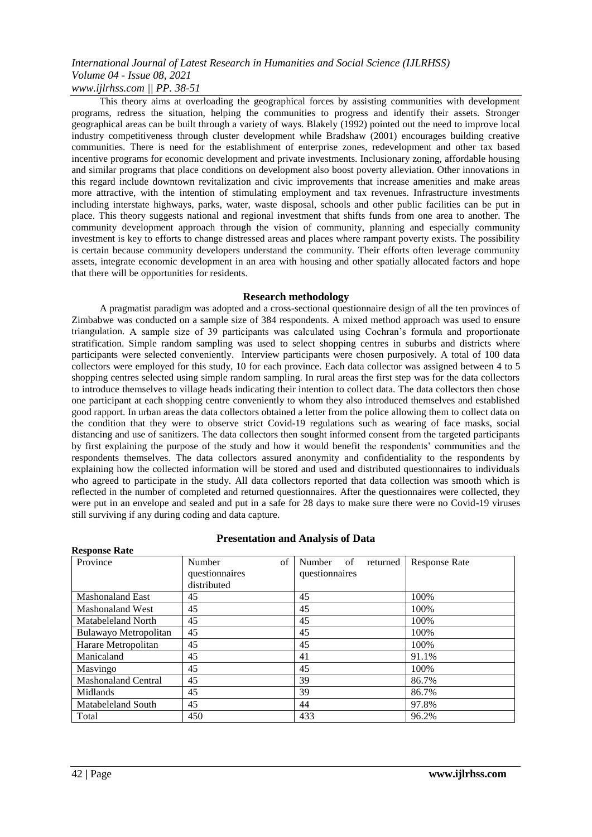This theory aims at overloading the geographical forces by assisting communities with development programs, redress the situation, helping the communities to progress and identify their assets. Stronger geographical areas can be built through a variety of ways. Blakely (1992) pointed out the need to improve local industry competitiveness through cluster development while Bradshaw (2001) encourages building creative communities. There is need for the establishment of enterprise zones, redevelopment and other tax based incentive programs for economic development and private investments. Inclusionary zoning, affordable housing and similar programs that place conditions on development also boost poverty alleviation. Other innovations in this regard include downtown revitalization and civic improvements that increase amenities and make areas more attractive, with the intention of stimulating employment and tax revenues. Infrastructure investments including interstate highways, parks, water, waste disposal, schools and other public facilities can be put in place. This theory suggests national and regional investment that shifts funds from one area to another. The community development approach through the vision of community, planning and especially community investment is key to efforts to change distressed areas and places where rampant poverty exists. The possibility is certain because community developers understand the community. Their efforts often leverage community assets, integrate economic development in an area with housing and other spatially allocated factors and hope that there will be opportunities for residents.

#### **Research methodology**

A pragmatist paradigm was adopted and a cross-sectional questionnaire design of all the ten provinces of Zimbabwe was conducted on a sample size of 384 respondents. A mixed method approach was used to ensure triangulation. A sample size of 39 participants was calculated using Cochran's formula and proportionate stratification. Simple random sampling was used to select shopping centres in suburbs and districts where participants were selected conveniently. Interview participants were chosen purposively. A total of 100 data collectors were employed for this study, 10 for each province. Each data collector was assigned between 4 to 5 shopping centres selected using simple random sampling. In rural areas the first step was for the data collectors to introduce themselves to village heads indicating their intention to collect data. The data collectors then chose one participant at each shopping centre conveniently to whom they also introduced themselves and established good rapport. In urban areas the data collectors obtained a letter from the police allowing them to collect data on the condition that they were to observe strict Covid-19 regulations such as wearing of face masks, social distancing and use of sanitizers. The data collectors then sought informed consent from the targeted participants by first explaining the purpose of the study and how it would benefit the respondents' communities and the respondents themselves. The data collectors assured anonymity and confidentiality to the respondents by explaining how the collected information will be stored and used and distributed questionnaires to individuals who agreed to participate in the study. All data collectors reported that data collection was smooth which is reflected in the number of completed and returned questionnaires. After the questionnaires were collected, they were put in an envelope and sealed and put in a safe for 28 days to make sure there were no Covid-19 viruses still surviving if any during coding and data capture.

## **Presentation and Analysis of Data**

| <b>Response Rate</b>       |                                               |                                            |                      |
|----------------------------|-----------------------------------------------|--------------------------------------------|----------------------|
| Province                   | of<br>Number<br>questionnaires<br>distributed | of<br>Number<br>returned<br>questionnaires | <b>Response Rate</b> |
| <b>Mashonaland East</b>    | 45                                            | 45                                         | 100%                 |
| <b>Mashonaland West</b>    | 45                                            | 45                                         | 100%                 |
| Matabeleland North         | 45                                            | 45                                         | 100%                 |
| Bulawayo Metropolitan      | 45                                            | 45                                         | 100%                 |
| Harare Metropolitan        | 45                                            | 45                                         | 100%                 |
| Manicaland                 | 45                                            | 41                                         | 91.1%                |
| Masvingo                   | 45                                            | 45                                         | 100%                 |
| <b>Mashonaland Central</b> | 45                                            | 39                                         | 86.7%                |
| Midlands                   | 45                                            | 39                                         | 86.7%                |
| Matabeleland South         | 45                                            | 44                                         | 97.8%                |
| Total                      | 450                                           | 433                                        | 96.2%                |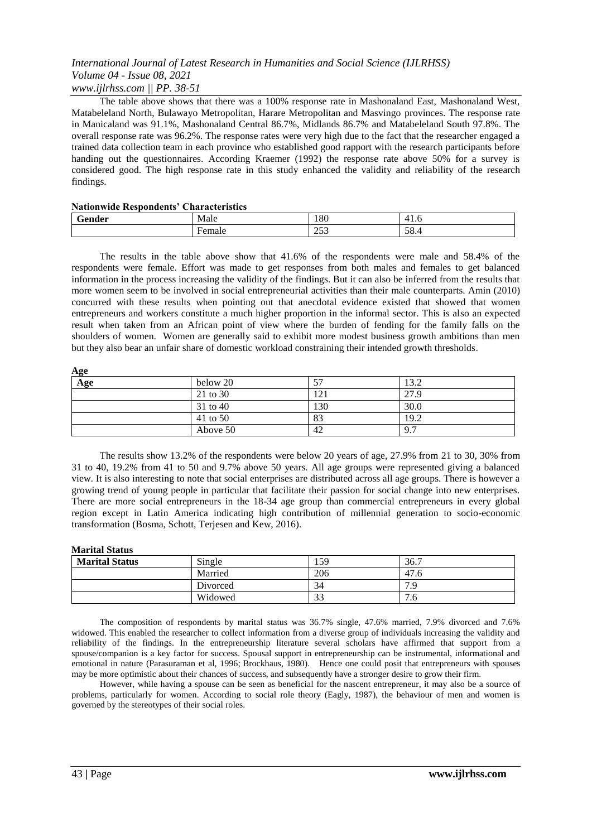The table above shows that there was a 100% response rate in Mashonaland East, Mashonaland West, Matabeleland North, Bulawayo Metropolitan, Harare Metropolitan and Masvingo provinces. The response rate in Manicaland was 91.1%, Mashonaland Central 86.7%, Midlands 86.7% and Matabeleland South 97.8%. The overall response rate was 96.2%. The response rates were very high due to the fact that the researcher engaged a trained data collection team in each province who established good rapport with the research participants before handing out the questionnaires. According Kraemer (1992) the response rate above 50% for a survey is considered good. The high response rate in this study enhanced the validity and reliability of the research findings.

#### **Nationwide Respondents' Characteristics**

| $\sim$<br>render | Male   | 180                           | 4<br>- 1. J |
|------------------|--------|-------------------------------|-------------|
|                  | ≁emale | $\sim$ $\sim$ $\sim$<br>ر ر_ر | FΟ<br>-20.4 |

The results in the table above show that 41.6% of the respondents were male and 58.4% of the respondents were female. Effort was made to get responses from both males and females to get balanced information in the process increasing the validity of the findings. But it can also be inferred from the results that more women seem to be involved in social entrepreneurial activities than their male counterparts. Amin (2010) concurred with these results when pointing out that anecdotal evidence existed that showed that women entrepreneurs and workers constitute a much higher proportion in the informal sector. This is also an expected result when taken from an African point of view where the burden of fending for the family falls on the shoulders of women. Women are generally said to exhibit more modest business growth ambitions than men but they also bear an unfair share of domestic workload constraining their intended growth thresholds.

| Age |          |     |      |  |
|-----|----------|-----|------|--|
| Age | below 20 |     | 13.2 |  |
|     | 21 to 30 | 121 | 27.9 |  |
|     | 31 to 40 | 130 | 30.0 |  |
|     | 41 to 50 | 83  | 19.2 |  |
|     | Above 50 | 42  | 9.7  |  |

The results show 13.2% of the respondents were below 20 years of age, 27.9% from 21 to 30, 30% from 31 to 40, 19.2% from 41 to 50 and 9.7% above 50 years. All age groups were represented giving a balanced view. It is also interesting to note that social enterprises are distributed across all age groups. There is however a growing trend of young people in particular that facilitate their passion for social change into new enterprises. There are more social entrepreneurs in the 18-34 age group than commercial entrepreneurs in every global region except in Latin America indicating high contribution of millennial generation to socio-economic transformation (Bosma, Schott, Terjesen and Kew, 2016).

#### **Marital Status**

| <b>Marital Status</b> | Single   | 159.         | 36.7      |
|-----------------------|----------|--------------|-----------|
|                       | Married  | 206          | 47.6      |
|                       | Divorced | 34           | 70<br>. . |
|                       | Widowed  | $\sim$<br>эJ | ⇁<br>'.ხ  |

The composition of respondents by marital status was 36.7% single, 47.6% married, 7.9% divorced and 7.6% widowed. This enabled the researcher to collect information from a diverse group of individuals increasing the validity and reliability of the findings. In the entrepreneurship literature several scholars have affirmed that support from a spouse/companion is a key factor for success. Spousal support in entrepreneurship can be instrumental, informational and emotional in nature (Parasuraman et al, 1996; Brockhaus, 1980). Hence one could posit that entrepreneurs with spouses may be more optimistic about their chances of success, and subsequently have a stronger desire to grow their firm.

However, while having a spouse can be seen as beneficial for the nascent entrepreneur, it may also be a source of problems, particularly for women. According to social role theory (Eagly, 1987), the behaviour of men and women is governed by the stereotypes of their social roles.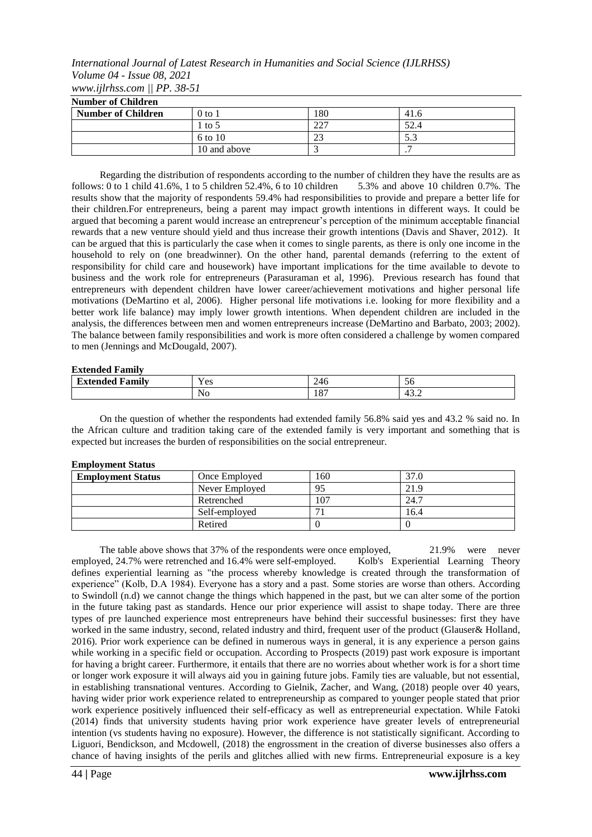| <b>Number of Children</b> |              |     |                 |
|---------------------------|--------------|-----|-----------------|
| <b>Number of Children</b> | $0$ to $1$   | 180 | 41.6            |
|                           | 1 to 5       | າາາ | 52.4            |
|                           | 6 to 10      | ر ے |                 |
|                           | 10 and above |     | $\cdot$ $\cdot$ |

Regarding the distribution of respondents according to the number of children they have the results are as follows: 0 to 1 child 41.6%, 1 to 5 children 52.4%, 6 to 10 children 5.3% and above 10 children 0.7%. The results show that the majority of respondents 59.4% had responsibilities to provide and prepare a better life for their children.For entrepreneurs, being a parent may impact growth intentions in different ways. It could be argued that becoming a parent would increase an entrepreneur's perception of the minimum acceptable financial rewards that a new venture should yield and thus increase their growth intentions (Davis and Shaver, 2012). It can be argued that this is particularly the case when it comes to single parents, as there is only one income in the household to rely on (one breadwinner). On the other hand, parental demands (referring to the extent of responsibility for child care and housework) have important implications for the time available to devote to business and the work role for entrepreneurs (Parasuraman et al, 1996). Previous research has found that entrepreneurs with dependent children have lower career/achievement motivations and higher personal life motivations (DeMartino et al, 2006). Higher personal life motivations i.e. looking for more flexibility and a better work life balance) may imply lower growth intentions. When dependent children are included in the analysis, the differences between men and women entrepreneurs increase (DeMartino and Barbato, 2003; 2002). The balance between family responsibilities and work is more often considered a challenge by women compared to men (Jennings and McDougald, 2007).

#### **Extended Family**

| __________________                                                  |                                  |             |                               |  |
|---------------------------------------------------------------------|----------------------------------|-------------|-------------------------------|--|
| $^{\bullet}$<br>⇁<br>$\overline{\phantom{a}}$<br>†amily<br>'vtended | $ -$<br>V ac<br>1 C <sub>2</sub> | ∠−⊤∪        | $\overline{\phantom{0}}$<br>◡ |  |
|                                                                     | <b>NO</b>                        | . OF<br>10/ | л<br>.                        |  |

On the question of whether the respondents had extended family 56.8% said yes and 43.2 % said no. In the African culture and tradition taking care of the extended family is very important and something that is expected but increases the burden of responsibilities on the social entrepreneur.

#### **Employment Status**

| <b>Employment Status</b> | Once Employed  | 160            | 27 <sub>1</sub> |
|--------------------------|----------------|----------------|-----------------|
|                          | Never Employed | 95             | 21.9            |
|                          | Retrenched     | 0 <sup>7</sup> | 24.7            |
|                          | Self-employed  |                | 16.4            |
|                          | Retired        |                |                 |

The table above shows that 37% of the respondents were once employed, 21.9% were never yed, 24.7% were retrenched and 16.4% were self-employed. Kolb's Experiential Learning Theory employed, 24.7% were retrenched and 16.4% were self-employed. defines experiential learning as "the process whereby knowledge is created through the transformation of experience" (Kolb, D.A 1984). Everyone has a story and a past. Some stories are worse than others. According to Swindoll (n.d) we cannot change the things which happened in the past, but we can alter some of the portion in the future taking past as standards. Hence our prior experience will assist to shape today. There are three types of pre launched experience most entrepreneurs have behind their successful businesses: first they have worked in the same industry, second, related industry and third, frequent user of the product (Glauser& Holland, 2016). Prior work experience can be defined in numerous ways in general, it is any experience a person gains while working in a specific field or occupation. According to Prospects (2019) past work exposure is important for having a bright career. Furthermore, it entails that there are no worries about whether work is for a short time or longer work exposure it will always aid you in gaining future jobs. Family ties are valuable, but not essential, in establishing transnational ventures. According to Gielnik, Zacher, and Wang, (2018) people over 40 years, having wider prior work experience related to entrepreneurship as compared to younger people stated that prior work experience positively influenced their self-efficacy as well as entrepreneurial expectation. While Fatoki (2014) finds that university students having prior work experience have greater levels of entrepreneurial intention (vs students having no exposure). However, the difference is not statistically significant. According to Liguori, Bendickson, and Mcdowell, (2018) the engrossment in the creation of diverse businesses also offers a chance of having insights of the perils and glitches allied with new firms. Entrepreneurial exposure is a key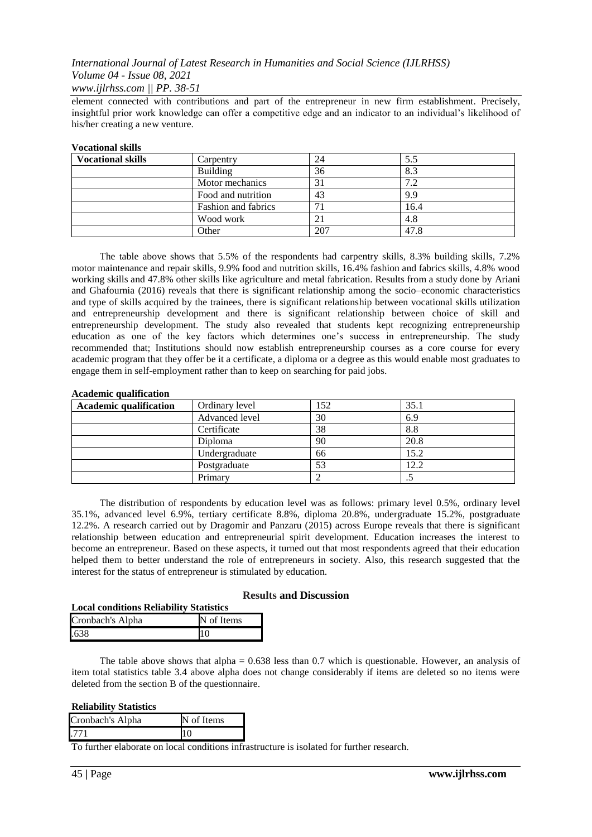element connected with contributions and part of the entrepreneur in new firm establishment. Precisely, insightful prior work knowledge can offer a competitive edge and an indicator to an individual's likelihood of his/her creating a new venture.

#### **Vocational skills**

| <b>Vocational skills</b> | Carpentry                  | 24  | 5.5  |
|--------------------------|----------------------------|-----|------|
|                          | <b>Building</b>            | 36  | 8.3  |
|                          | Motor mechanics            | 31  | 7.2  |
|                          | Food and nutrition         | 43  | 9.9  |
|                          | <b>Fashion and fabrics</b> |     | 16.4 |
|                          | Wood work                  |     | 4.8  |
|                          | Other                      | 207 | 47.8 |

The table above shows that 5.5% of the respondents had carpentry skills, 8.3% building skills, 7.2% motor maintenance and repair skills, 9.9% food and nutrition skills, 16.4% fashion and fabrics skills, 4.8% wood working skills and 47.8% other skills like agriculture and metal fabrication. Results from a study done by Ariani and Ghafournia (2016) reveals that there is significant relationship among the socio–economic characteristics and type of skills acquired by the trainees, there is significant relationship between vocational skills utilization and entrepreneurship development and there is significant relationship between choice of skill and entrepreneurship development. The study also revealed that students kept recognizing entrepreneurship education as one of the key factors which determines one's success in entrepreneurship. The study recommended that; Institutions should now establish entrepreneurship courses as a core course for every academic program that they offer be it a certificate, a diploma or a degree as this would enable most graduates to engage them in self-employment rather than to keep on searching for paid jobs.

#### **Academic qualification**

| <b>Academic qualification</b> | Ordinary level | 152 | 35.1        |
|-------------------------------|----------------|-----|-------------|
|                               | Advanced level | 30  | 6.9         |
|                               | Certificate    | 38  | 8.8         |
|                               | Diploma        | 90  | 20.8        |
|                               | Undergraduate  | 66  | 15.2        |
|                               | Postgraduate   | 53  | 12.2        |
|                               | Primary        |     | $\ddot{\,}$ |

The distribution of respondents by education level was as follows: primary level 0.5%, ordinary level 35.1%, advanced level 6.9%, tertiary certificate 8.8%, diploma 20.8%, undergraduate 15.2%, postgraduate 12.2%. A research carried out by Dragomir and Panzaru (2015) across Europe reveals that there is significant relationship between education and entrepreneurial spirit development. Education increases the interest to become an entrepreneur. Based on these aspects, it turned out that most respondents agreed that their education helped them to better understand the role of entrepreneurs in society. Also, this research suggested that the interest for the status of entrepreneur is stimulated by education.

#### **Results and Discussion**

| <b>Local conditions Reliability Statistics</b> |            |  |
|------------------------------------------------|------------|--|
| Cronbach's Alpha                               | N of Items |  |
| .638                                           | 10         |  |

The table above shows that alpha  $= 0.638$  less than 0.7 which is questionable. However, an analysis of item total statistics table 3.4 above alpha does not change considerably if items are deleted so no items were deleted from the section B of the questionnaire.

#### **Reliability Statistics**

| Cronbach's Alpha | N of Items |
|------------------|------------|
| 771              |            |
|                  |            |

To further elaborate on local conditions infrastructure is isolated for further research.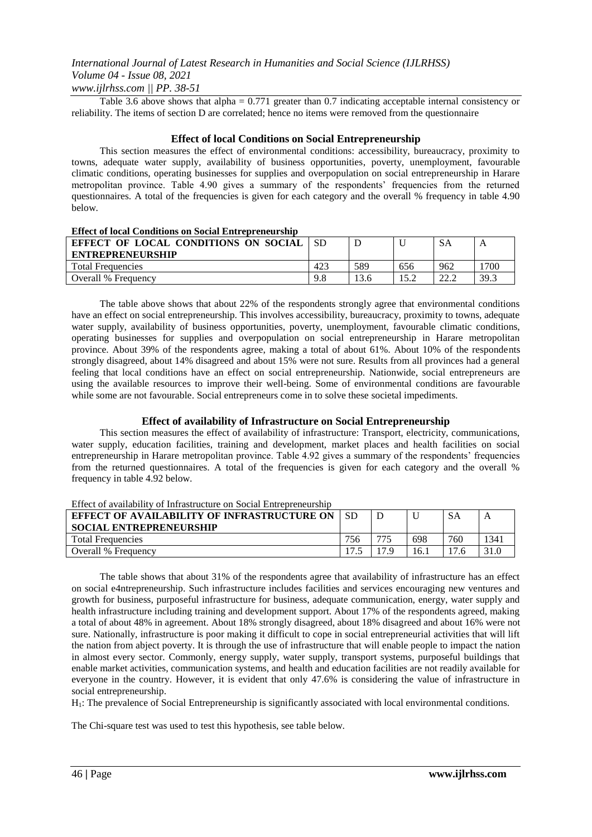Table 3.6 above shows that alpha =  $0.771$  greater than 0.7 indicating acceptable internal consistency or reliability. The items of section D are correlated; hence no items were removed from the questionnaire

## **Effect of local Conditions on Social Entrepreneurship**

This section measures the effect of environmental conditions: accessibility, bureaucracy, proximity to towns, adequate water supply, availability of business opportunities, poverty, unemployment, favourable climatic conditions, operating businesses for supplies and overpopulation on social entrepreneurship in Harare metropolitan province. Table 4.90 gives a summary of the respondents' frequencies from the returned questionnaires. A total of the frequencies is given for each category and the overall % frequency in table 4.90 below.

#### **Effect of local Conditions on Social Entrepreneurship**

| EFFECT OF LOCAL CONDITIONS ON SOCIAL<br><b>ENTREPRENEURSHIP</b> |          |     |     | <b>SA</b>    |      |
|-----------------------------------------------------------------|----------|-----|-----|--------------|------|
| <b>Total Frequencies</b>                                        | $42^{2}$ | 589 | 656 | 962          | 1700 |
| Overall % Frequency                                             | 9.8      |     |     | າາ າ<br>44.L | 39.3 |

The table above shows that about 22% of the respondents strongly agree that environmental conditions have an effect on social entrepreneurship. This involves accessibility, bureaucracy, proximity to towns, adequate water supply, availability of business opportunities, poverty, unemployment, favourable climatic conditions, operating businesses for supplies and overpopulation on social entrepreneurship in Harare metropolitan province. About 39% of the respondents agree, making a total of about 61%. About 10% of the respondents strongly disagreed, about 14% disagreed and about 15% were not sure. Results from all provinces had a general feeling that local conditions have an effect on social entrepreneurship. Nationwide, social entrepreneurs are using the available resources to improve their well-being. Some of environmental conditions are favourable while some are not favourable. Social entrepreneurs come in to solve these societal impediments.

#### **Effect of availability of Infrastructure on Social Entrepreneurship**

This section measures the effect of availability of infrastructure: Transport, electricity, communications, water supply, education facilities, training and development, market places and health facilities on social entrepreneurship in Harare metropolitan province. Table 4.92 gives a summary of the respondents' frequencies from the returned questionnaires. A total of the frequencies is given for each category and the overall % frequency in table 4.92 below.

## Effect of availability of Infrastructure on Social Entrepreneurship

| <b>EFFECT OF AVAILABILITY OF INFRASTRUCTURE ON</b><br><b>SOCIAL ENTREPRENEURSHIP</b> |     |      | U   | <b>SA</b> | A    |
|--------------------------------------------------------------------------------------|-----|------|-----|-----------|------|
| <b>Total Frequencies</b>                                                             | 756 | 775  | 698 | 760       | 1341 |
| Overall % Frequency                                                                  |     | 17 Q | 16. | 17.       |      |

The table shows that about 31% of the respondents agree that availability of infrastructure has an effect on social e4ntrepreneurship. Such infrastructure includes facilities and services encouraging new ventures and growth for business, purposeful infrastructure for business, adequate communication, energy, water supply and health infrastructure including training and development support. About 17% of the respondents agreed, making a total of about 48% in agreement. About 18% strongly disagreed, about 18% disagreed and about 16% were not sure. Nationally, infrastructure is poor making it difficult to cope in social entrepreneurial activities that will lift the nation from abject poverty. It is through the use of infrastructure that will enable people to impact the nation in almost every sector. Commonly, energy supply, water supply, transport systems, purposeful buildings that enable market activities, communication systems, and health and education facilities are not readily available for everyone in the country. However, it is evident that only 47.6% is considering the value of infrastructure in social entrepreneurship.

H1: The prevalence of Social Entrepreneurship is significantly associated with local environmental conditions.

The Chi-square test was used to test this hypothesis, see table below.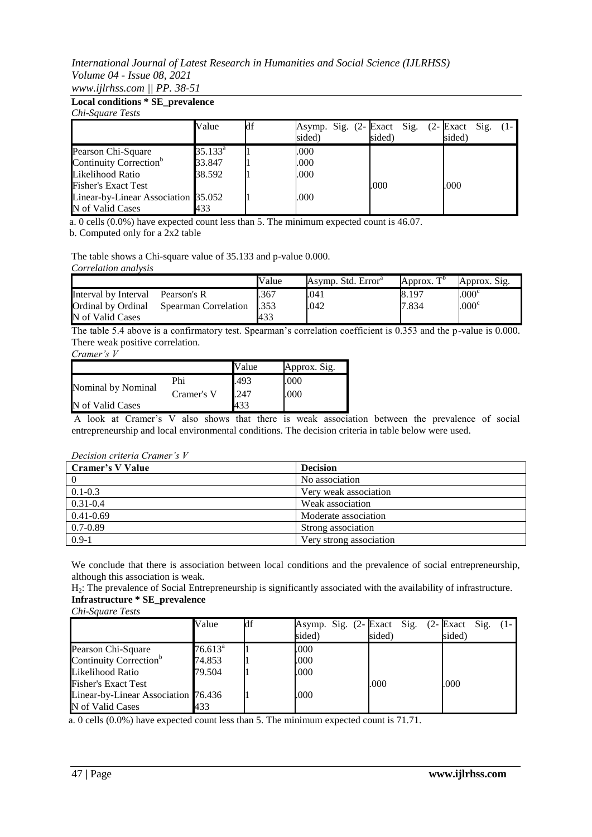**Local conditions \* SE\_prevalence** *Chi-Square Tests*

| Chi-Suuure Tesis                    |                  |    |                                      |        |                             |
|-------------------------------------|------------------|----|--------------------------------------|--------|-----------------------------|
|                                     | Value            | df | Asymp. Sig. (2- Exact Sig.<br>sided) | sided) | $(2 - Exact Sig)$<br>sided) |
| Pearson Chi-Square                  | $35.133^{\rm a}$ |    | .000                                 |        |                             |
| Continuity Correction <sup>b</sup>  | 33.847           |    | .000                                 |        |                             |
| Likelihood Ratio                    | 38.592           |    | .000                                 |        |                             |
| <b>Fisher's Exact Test</b>          |                  |    |                                      | .000   | .000                        |
| Linear-by-Linear Association 35.052 |                  |    | .000                                 |        |                             |
| N of Valid Cases                    | 433              |    |                                      |        |                             |

a. 0 cells (0.0%) have expected count less than 5. The minimum expected count is 46.07.

b. Computed only for a 2x2 table

The table shows a Chi-square value of 35.133 and p-value 0.000.

*Correlation analysis*

|                      |                      | Value        | Asymp. Std. Error <sup>a</sup> | $\neg$ D<br>Approx. | Approx. Sig.   |
|----------------------|----------------------|--------------|--------------------------------|---------------------|----------------|
| Interval by Interval | Pearson's R          | .367         | .041                           | 8.197               | $.000^{\circ}$ |
| Ordinal by Ordinal   | Spearman Correlation | <b>1.353</b> | .042                           | 7.834               | $.000^{\circ}$ |
| N of Valid Cases     |                      | 433          |                                |                     |                |

The table 5.4 above is a confirmatory test. Spearman's correlation coefficient is 0.353 and the p-value is 0.000. There weak positive correlation.

*Cramer's V*

|                    |            | Value | Approx. Sig. |
|--------------------|------------|-------|--------------|
| Nominal by Nominal | Phi        | .493  | .000         |
|                    | Cramer's V | .247  | .000         |
| N of Valid Cases   |            | 433   |              |

A look at Cramer's V also shows that there is weak association between the prevalence of social entrepreneurship and local environmental conditions. The decision criteria in table below were used.

#### *Decision criteria Cramer's V*

| Cramer's V Value | <b>Decision</b>         |
|------------------|-------------------------|
|                  | No association          |
| $0.1 - 0.3$      | Very weak association   |
| $0.31 - 0.4$     | Weak association        |
| $0.41 - 0.69$    | Moderate association    |
| $0.7 - 0.89$     | Strong association      |
| $0.9 - 1$        | Very strong association |

We conclude that there is association between local conditions and the prevalence of social entrepreneurship, although this association is weak.

H2: The prevalence of Social Entrepreneurship is significantly associated with the availability of infrastructure. **Infrastructure \* SE\_prevalence**

*Chi-Square Tests*

|                                     | Value            | df | sided) | Asymp. Sig. (2- Exact Sig. (2- Exact Sig.<br>sided) | sided) |
|-------------------------------------|------------------|----|--------|-----------------------------------------------------|--------|
| Pearson Chi-Square                  | $76.613^{\rm a}$ |    | .000   |                                                     |        |
| Continuity Correction <sup>b</sup>  | 74.853           |    | .000   |                                                     |        |
| Likelihood Ratio                    | 79.504           |    | .000   |                                                     |        |
| <b>Fisher's Exact Test</b>          |                  |    |        | .000                                                | .000   |
| Linear-by-Linear Association 76.436 |                  |    | .000   |                                                     |        |
| N of Valid Cases                    | 433              |    |        |                                                     |        |

a. 0 cells (0.0%) have expected count less than 5. The minimum expected count is 71.71.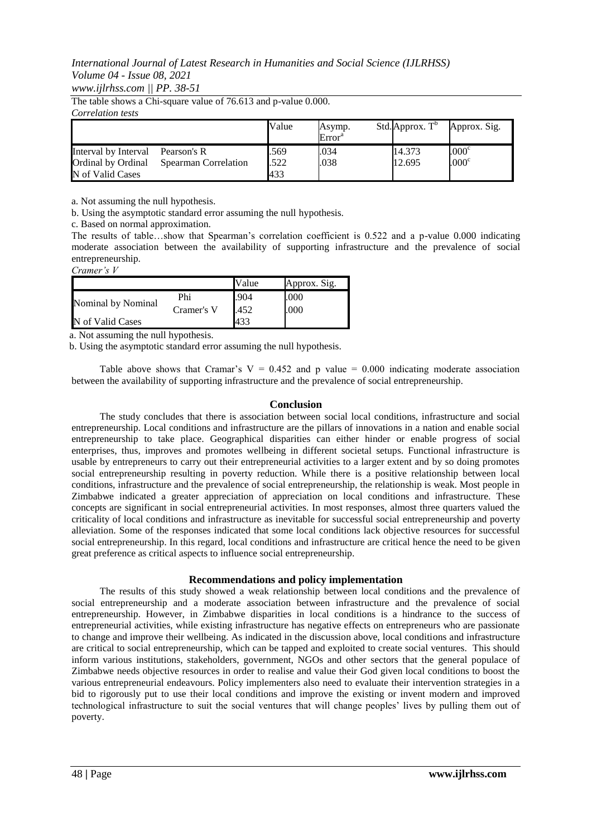The table shows a Chi-square value of 76.613 and p-value 0.000.

*Correlation tests*

|                                            |                                     | Value        | Asymp.<br>Error <sup>a</sup> | Std. Approx. $T^b$ | Approx. Sig.                           |
|--------------------------------------------|-------------------------------------|--------------|------------------------------|--------------------|----------------------------------------|
| Interval by Interval<br>Ordinal by Ordinal | Pearson's R<br>Spearman Correlation | .569<br>.522 | .034<br>.038                 | 14.373<br>12.695   | .000 <sup>c</sup><br>.000 <sup>c</sup> |
| N of Valid Cases                           |                                     | 433          |                              |                    |                                        |

a. Not assuming the null hypothesis.

b. Using the asymptotic standard error assuming the null hypothesis.

c. Based on normal approximation.

The results of table…show that Spearman's correlation coefficient is 0.522 and a p-value 0.000 indicating moderate association between the availability of supporting infrastructure and the prevalence of social entrepreneurship.

*Cramer's V*

|                    |            | Value | Approx. Sig. |
|--------------------|------------|-------|--------------|
| Nominal by Nominal | Phi        | .904  | .000         |
|                    | Cramer's V | .452  | .000         |
| N of Valid Cases   |            | 433   |              |

a. Not assuming the null hypothesis.

b. Using the asymptotic standard error assuming the null hypothesis.

Table above shows that Cramar's  $V = 0.452$  and p value = 0.000 indicating moderate association between the availability of supporting infrastructure and the prevalence of social entrepreneurship.

#### **Conclusion**

The study concludes that there is association between social local conditions, infrastructure and social entrepreneurship. Local conditions and infrastructure are the pillars of innovations in a nation and enable social entrepreneurship to take place. Geographical disparities can either hinder or enable progress of social enterprises, thus, improves and promotes wellbeing in different societal setups. Functional infrastructure is usable by entrepreneurs to carry out their entrepreneurial activities to a larger extent and by so doing promotes social entrepreneurship resulting in poverty reduction. While there is a positive relationship between local conditions, infrastructure and the prevalence of social entrepreneurship, the relationship is weak. Most people in Zimbabwe indicated a greater appreciation of appreciation on local conditions and infrastructure. These concepts are significant in social entrepreneurial activities. In most responses, almost three quarters valued the criticality of local conditions and infrastructure as inevitable for successful social entrepreneurship and poverty alleviation. Some of the responses indicated that some local conditions lack objective resources for successful social entrepreneurship. In this regard, local conditions and infrastructure are critical hence the need to be given great preference as critical aspects to influence social entrepreneurship.

#### **Recommendations and policy implementation**

The results of this study showed a weak relationship between local conditions and the prevalence of social entrepreneurship and a moderate association between infrastructure and the prevalence of social entrepreneurship. However, in Zimbabwe disparities in local conditions is a hindrance to the success of entrepreneurial activities, while existing infrastructure has negative effects on entrepreneurs who are passionate to change and improve their wellbeing. As indicated in the discussion above, local conditions and infrastructure are critical to social entrepreneurship, which can be tapped and exploited to create social ventures. This should inform various institutions, stakeholders, government, NGOs and other sectors that the general populace of Zimbabwe needs objective resources in order to realise and value their God given local conditions to boost the various entrepreneurial endeavours. Policy implementers also need to evaluate their intervention strategies in a bid to rigorously put to use their local conditions and improve the existing or invent modern and improved technological infrastructure to suit the social ventures that will change peoples' lives by pulling them out of poverty.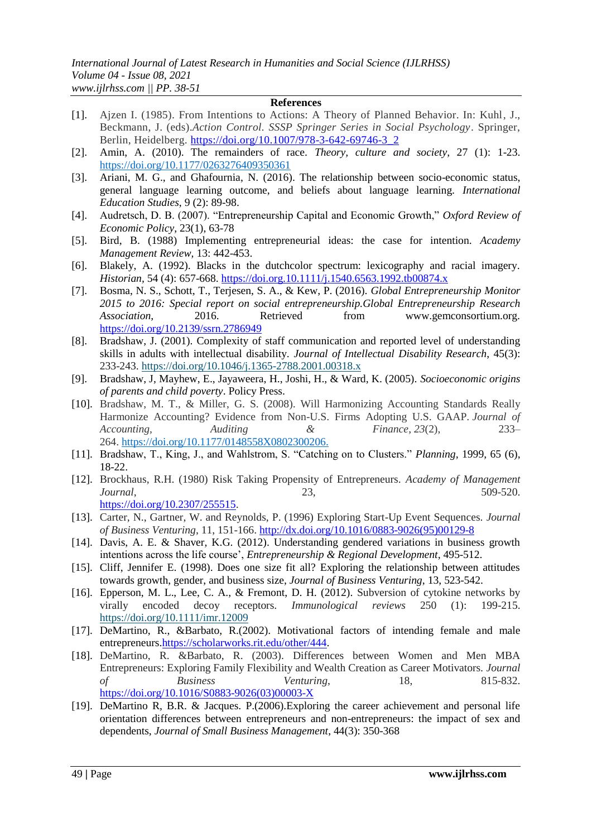#### **References**

- [1]. Ajzen I. (1985). From Intentions to Actions: A Theory of Planned Behavior. In: Kuhl, J., Beckmann, J. (eds).*Action Control. SSSP Springer Series in Social Psychology*. Springer, Berlin, Heidelberg. [https://doi.org/10.1007/978-3-642-69746-3\\_2](https://doi.org/10.1007/978-3-642-69746-3_2)
- [2]. Amin, A. (2010). The remainders of race. *Theory, culture and society*, 27 (1): 1-23. [https://doi.org/10.1177/0263276409350361](https://doi.org/10.1177%2F0263276409350361)
- [3]. Ariani, M. G., and Ghafournia, N. (2016). The relationship between socio-economic status, general language learning outcome, and beliefs about language learning. *International Education Studies*, 9 (2): 89-98.
- [4]. Audretsch, D. B. (2007). "Entrepreneurship Capital and Economic Growth," *Oxford Review of Economic Policy*, 23(1), 63-78
- [5]. Bird, B. (1988) Implementing entrepreneurial ideas: the case for intention. *Academy Management Review,* 13: 442-453.
- [6]. Blakely, A. (1992). Blacks in the dutchcolor spectrum: lexicography and racial imagery. *Historian,* 54 (4): 657-668.<https://doi.org.10.1111/j.1540.6563.1992.tb00874.x>
- [7]. Bosma, N. S., Schott, T., Terjesen, S. A., & Kew, P. (2016). *Global Entrepreneurship Monitor 2015 to 2016: Special report on social entrepreneurship.Global Entrepreneurship Research Association,* 2016. Retrieved from www.gemconsortium.org. <https://doi.org/10.2139/ssrn.2786949>
- [8]. Bradshaw, J. (2001). Complexity of staff communication and reported level of understanding skills in adults with intellectual disability. *Journal of Intellectual Disability Research*, 45(3): 233-243.<https://doi.org/10.1046/j.1365-2788.2001.00318.x>
- [9]. Bradshaw, J, Mayhew, E., Jayaweera, H., Joshi, H., & Ward, K. (2005). *Socioeconomic origins of parents and child poverty*. Policy Press.
- [10]. Bradshaw, M. T., & Miller, G. S. (2008). Will Harmonizing Accounting Standards Really Harmonize Accounting? Evidence from Non-U.S. Firms Adopting U.S. GAAP. *Journal of Accounting, Auditing & Finance*, *23*(2), 233– 264. [https://doi.org/10.1177/0148558X0802300206.](https://doi.org/10.1177/0148558X0802300206)
- [11]. Bradshaw, T., King, J., and Wahlstrom, S. "Catching on to Clusters." *Planning*, 1999, 65 (6), 18-22.
- [12]. Brockhaus, R.H. (1980) Risk Taking Propensity of Entrepreneurs. *Academy of Management Journal*, 23, 509-520. [https://doi.org/10.2307/255515.](https://doi.org/10.2307/255515)
- [13]. Carter, N., Gartner, W. and Reynolds, P. (1996) Exploring Start-Up Event Sequences. *Journal of Business Venturing*, 11, 151-166. [http://dx.doi.org/10.1016/0883-9026\(95\)00129-8](http://dx.doi.org/10.1016/0883-9026(95)00129-8)
- [14]. Davis, A. E. & Shaver, K.G. (2012). Understanding gendered variations in business growth intentions across the life course', *Entrepreneurship & Regional Development*, 495-512.
- [15]. Cliff, Jennifer E. (1998). Does one size fit all? Exploring the relationship between attitudes towards growth, gender, and business size, *Journal of Business Venturing*, 13, 523-542.
- [16]. Epperson, M. L., Lee, C. A., & Fremont, D. H. (2012). Subversion of cytokine networks by virally encoded decoy receptors. *Immunological reviews* 250 (1): 199-215. <https://doi.org/10.1111/imr.12009>
- [17]. DeMartino, R., &Barbato, R.(2002). Motivational factors of intending female and male entrepreneurs[.https://scholarworks.rit.edu/other/444.](https://scholarworks.rit.edu/other/444)
- [18]. DeMartino, R. &Barbato, R. (2003). Differences between Women and Men MBA Entrepreneurs: Exploring Family Flexibility and Wealth Creation as Career Motivators. *Journal of Business Venturing*, 18, 815-832. [https://doi.org/10.1016/S0883-9026\(03\)00003-X](https://doi.org/10.1016/S0883-9026(03)00003-X)
- [19]. DeMartino R, B.R. & Jacques. P.(2006).Exploring the career achievement and personal life orientation differences between entrepreneurs and non-entrepreneurs: the impact of sex and dependents, *Journal of Small Business Management*, 44(3): 350-368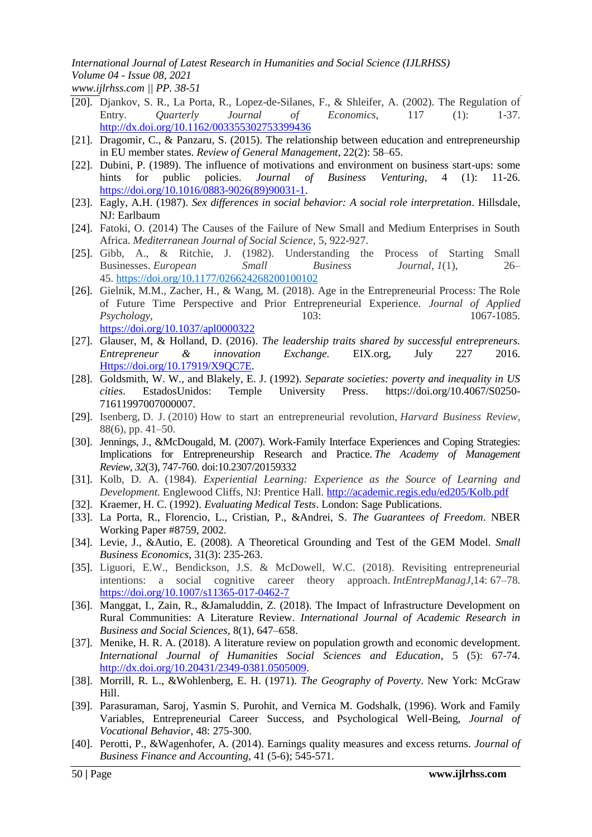# *International Journal of Latest Research in Humanities and Social Science (IJLRHSS) Volume 04 - Issue 08, 2021*

*www.ijlrhss.com || PP. 38-51*

- [20]. Djankov, S. R., La Porta, R., Lopez-de-Silanes, F., & Shleifer, A. (2002). The Regulation of Entry. *Quarterly Journal of Economics,* 117 (1): 1-37. <http://dx.doi.org/10.1162/003355302753399436>
- [21]. Dragomir, C., & Panzaru, S. (2015). The relationship between education and entrepreneurship in EU member states. *Review of General Management*, 22(2): 58–65.
- [22]. Dubini, P. (1989). The influence of motivations and environment on business start-ups: some hints for public policies. *Journal of Business Venturing*, 4 (1): 11-26. [https://doi.org/10.1016/0883-9026\(89\)90031-1.](https://doi.org/10.1016/0883-9026(89)90031-1)
- [23]. Eagly, A.H. (1987). *Sex differences in social behavior: A social role interpretation*. Hillsdale, NJ: Earlbaum
- [24]. Fatoki, O. (2014) The Causes of the Failure of New Small and Medium Enterprises in South Africa. *Mediterranean Journal of Social Science,* 5, 922-927.
- [25]. Gibb, A., & Ritchie, J. (1982). Understanding the Process of Starting Small Businesses. *European Small Business Journal*, *1*(1), 26– 45. <https://doi.org/10.1177/026624268200100102>
- [26]. Gielnik, M.M., Zacher, H., & Wang, M. (2018). Age in the Entrepreneurial Process: The Role of Future Time Perspective and Prior Entrepreneurial Experience. *Journal of Applied Psychology*, 103: 1067-1085. <https://doi.org/10.1037/apl0000322>
- [27]. Glauser, M, & Holland, D. (2016). *The leadership traits shared by successful entrepreneurs. Entrepreneur & innovation Exchange.* EIX.org, July 227 2016. [Https://doi.org/10.17919/X9QC7E.](https://doi.org/10.17919/X9QC7E)
- [28]. Goldsmith, W. W., and Blakely, E. J. (1992). *Separate societies: poverty and inequality in US cities*. EstadosUnidos: Temple University Press. [https://doi.org/10.4067/S0250-](https://doi.org/10.4067/S0250-71611997007000007) [71611997007000007.](https://doi.org/10.4067/S0250-71611997007000007)
- [29]. Isenberg, D. J. (2010) How to start an entrepreneurial revolution, *Harvard Business Review*, 88(6), pp. 41–50.
- [30]. Jennings, J., &McDougald, M. (2007). Work-Family Interface Experiences and Coping Strategies: Implications for Entrepreneurship Research and Practice. *The Academy of Management Review, 32*(3), 747-760. doi:10.2307/20159332
- [31]. Kolb, D. A. (1984). *Experiential Learning: Experience as the Source of Learning and Development.* Englewood Cliffs, NJ: Prentice Hall. <http://academic.regis.edu/ed205/Kolb.pdf>
- [32]. Kraemer, H. C. (1992). *Evaluating Medical Tests*. London: Sage Publications.
- [33]. La Porta, R., Florencio, L., Cristian, P., &Andrei, S. *The Guarantees of Freedom*. NBER Working Paper #8759, 2002.
- [34]. Levie, J., &Autio, E. (2008). A Theoretical Grounding and Test of the GEM Model. *Small Business Economics*, 31(3): 235-263.
- [35]. Liguori, E.W., Bendickson, J.S. & McDowell, W.C. (2018). Revisiting entrepreneurial intentions: a social cognitive career theory approach. *IntEntrepManagJ*,14: 67–78. <https://doi.org/10.1007/s11365-017-0462-7>
- [36]. Manggat, I., Zain, R., &Jamaluddin, Z. (2018). The Impact of Infrastructure Development on Rural Communities: A Literature Review. *International Journal of Academic Research in Business and Social Sciences,* 8(1), 647–658.
- [37]. Menike, H. R. A. (2018). A literature review on population growth and economic development. *International Journal of Humanities Social Sciences and Education*, 5 (5): 67-74. [http://dx.doi.org/10.20431/2349-0381.0505009.](http://dx.doi.org/10.20431/2349-0381.0505009)
- [38]. Morrill, R. L., &Wohlenberg, E. H. (1971). *The Geography of Poverty*. New York: McGraw Hill.
- [39]. Parasuraman, Saroj, Yasmin S. Purohit, and Vernica M. Godshalk, (1996). Work and Family Variables, Entrepreneurial Career Success, and Psychological Well-Being, *Journal of Vocational Behavior*, 48: 275-300.
- [40]. Perotti, P., &Wagenhofer, A. (2014). Earnings quality measures and excess returns. *Journal of Business Finance and Accounting*, 41 (5-6); 545-571.